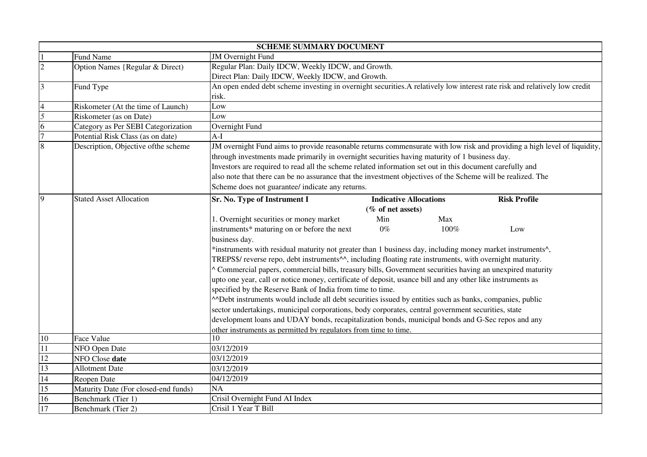|                         |                                      | <b>SCHEME SUMMARY DOCUMENT</b>                                                                                             |
|-------------------------|--------------------------------------|----------------------------------------------------------------------------------------------------------------------------|
|                         | <b>Fund Name</b>                     | <b>JM</b> Overnight Fund                                                                                                   |
| $\overline{c}$          | Option Names {Regular & Direct)      | Regular Plan: Daily IDCW, Weekly IDCW, and Growth.                                                                         |
|                         |                                      | Direct Plan: Daily IDCW, Weekly IDCW, and Growth.                                                                          |
| $\overline{\mathbf{3}}$ | Fund Type                            | An open ended debt scheme investing in overnight securities. A relatively low interest rate risk and relatively low credit |
|                         |                                      | risk.                                                                                                                      |
| $\overline{4}$          | Riskometer (At the time of Launch)   | Low                                                                                                                        |
| 5                       | Riskometer (as on Date)              | Low                                                                                                                        |
| 6                       | Category as Per SEBI Categorization  | Overnight Fund                                                                                                             |
| $\overline{7}$          | Potential Risk Class (as on date)    | $A-I$                                                                                                                      |
| 8                       | Description, Objective of the scheme | JM overnight Fund aims to provide reasonable returns commensurate with low risk and providing a high level of liquidity,   |
|                         |                                      | through investments made primarily in overnight securities having maturity of 1 business day.                              |
|                         |                                      | Investors are required to read all the scheme related information set out in this document carefully and                   |
|                         |                                      | also note that there can be no assurance that the investment objectives of the Scheme will be realized. The                |
|                         |                                      | Scheme does not guarantee/ indicate any returns.                                                                           |
| 9                       | <b>Stated Asset Allocation</b>       | Sr. No. Type of Instrument I<br><b>Indicative Allocations</b><br><b>Risk Profile</b>                                       |
|                         |                                      | (% of net assets)                                                                                                          |
|                         |                                      | 1. Overnight securities or money market<br>Min<br>Max                                                                      |
|                         |                                      | instruments* maturing on or before the next<br>$0\%$<br>100%<br>Low                                                        |
|                         |                                      | business day.                                                                                                              |
|                         |                                      | *instruments with residual maturity not greater than 1 business day, including money market instruments^,                  |
|                         |                                      | TREPS\$/ reverse repo, debt instruments^^, including floating rate instruments, with overnight maturity.                   |
|                         |                                      | ^ Commercial papers, commercial bills, treasury bills, Government securities having an unexpired maturity                  |
|                         |                                      | upto one year, call or notice money, certificate of deposit, usance bill and any other like instruments as                 |
|                         |                                      | specified by the Reserve Bank of India from time to time.                                                                  |
|                         |                                      | ADebt instruments would include all debt securities issued by entities such as banks, companies, public                    |
|                         |                                      | sector undertakings, municipal corporations, body corporates, central government securities, state                         |
|                         |                                      | development loans and UDAY bonds, recapitalization bonds, municipal bonds and G-Sec repos and any                          |
|                         |                                      | other instruments as permitted by regulators from time to time.                                                            |
| $10\,$                  | Face Value                           | 10                                                                                                                         |
| 11                      | NFO Open Date                        | 03/12/2019                                                                                                                 |
| 12                      | NFO Close date                       | 03/12/2019                                                                                                                 |
| 13                      | <b>Allotment Date</b>                | 03/12/2019                                                                                                                 |
| 14                      | Reopen Date                          | 04/12/2019                                                                                                                 |
| 15                      | Maturity Date (For closed-end funds) | NA                                                                                                                         |
| 16                      | Benchmark (Tier 1)                   | Crisil Overnight Fund AI Index                                                                                             |
| 17                      | Benchmark (Tier 2)                   | Crisil 1 Year T Bill                                                                                                       |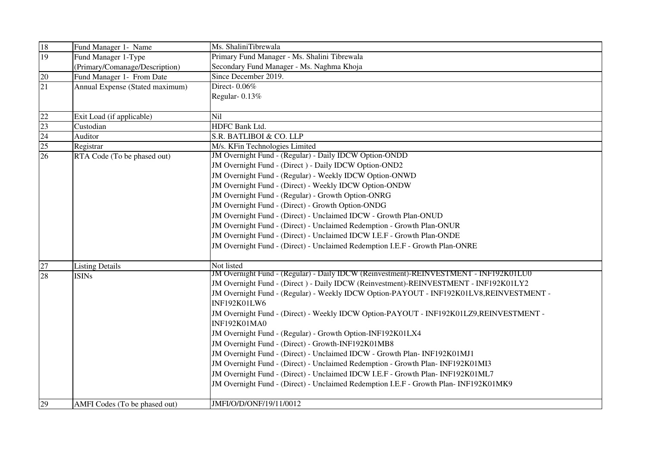| 18                                 | Fund Manager 1- Name            | Ms. ShaliniTibrewala                                                                         |
|------------------------------------|---------------------------------|----------------------------------------------------------------------------------------------|
| 19                                 | Fund Manager 1-Type             | Primary Fund Manager - Ms. Shalini Tibrewala                                                 |
|                                    | (Primary/Comanage/Description)  | Secondary Fund Manager - Ms. Naghma Khoja                                                    |
| 20                                 | Fund Manager 1- From Date       | Since December 2019.                                                                         |
| $\overline{21}$                    | Annual Expense (Stated maximum) | Direct-0.06%                                                                                 |
|                                    |                                 | Regular-0.13%                                                                                |
|                                    |                                 |                                                                                              |
| 22                                 | Exit Load (if applicable)       | Nil                                                                                          |
|                                    | Custodian                       | HDFC Bank Ltd.                                                                               |
| $\frac{23}{24}$<br>$\frac{25}{26}$ | Auditor                         | S.R. BATLIBOI & CO. LLP                                                                      |
|                                    | Registrar                       | M/s. KFin Technologies Limited                                                               |
|                                    | RTA Code (To be phased out)     | JM Overnight Fund - (Regular) - Daily IDCW Option-ONDD                                       |
|                                    |                                 | JM Overnight Fund - (Direct) - Daily IDCW Option-OND2                                        |
|                                    |                                 | JM Overnight Fund - (Regular) - Weekly IDCW Option-ONWD                                      |
|                                    |                                 | JM Overnight Fund - (Direct) - Weekly IDCW Option-ONDW                                       |
|                                    |                                 | JM Overnight Fund - (Regular) - Growth Option-ONRG                                           |
|                                    |                                 | JM Overnight Fund - (Direct) - Growth Option-ONDG                                            |
|                                    |                                 | JM Overnight Fund - (Direct) - Unclaimed IDCW - Growth Plan-ONUD                             |
|                                    |                                 | JM Overnight Fund - (Direct) - Unclaimed Redemption - Growth Plan-ONUR                       |
|                                    |                                 | JM Overnight Fund - (Direct) - Unclaimed IDCW I.E.F - Growth Plan-ONDE                       |
|                                    |                                 | JM Overnight Fund - (Direct) - Unclaimed Redemption I.E.F - Growth Plan-ONRE                 |
|                                    |                                 |                                                                                              |
| 27                                 | <b>Listing Details</b>          | Not listed                                                                                   |
| 28                                 | <b>ISINs</b>                    | <b>JM Overnight Fund - (Regular) - Daily IDCW (Reinvestment)-REINVESTMENT - INF192K01LU0</b> |
|                                    |                                 | JM Overnight Fund - (Direct) - Daily IDCW (Reinvestment)-REINVESTMENT - INF192K01LY2         |
|                                    |                                 | JM Overnight Fund - (Regular) - Weekly IDCW Option-PAYOUT - INF192K01LV8,REINVESTMENT -      |
|                                    |                                 | INF192K01LW6                                                                                 |
|                                    |                                 | JM Overnight Fund - (Direct) - Weekly IDCW Option-PAYOUT - INF192K01LZ9,REINVESTMENT -       |
|                                    |                                 | <b>INF192K01MA0</b>                                                                          |
|                                    |                                 | JM Overnight Fund - (Regular) - Growth Option-INF192K01LX4                                   |
|                                    |                                 | JM Overnight Fund - (Direct) - Growth-INF192K01MB8                                           |
|                                    |                                 | JM Overnight Fund - (Direct) - Unclaimed IDCW - Growth Plan- INF192K01MJ1                    |
|                                    |                                 | JM Overnight Fund - (Direct) - Unclaimed Redemption - Growth Plan-INF192K01MI3               |
|                                    |                                 | JM Overnight Fund - (Direct) - Unclaimed IDCW I.E.F - Growth Plan- INF192K01ML7              |
|                                    |                                 | JM Overnight Fund - (Direct) - Unclaimed Redemption I.E.F - Growth Plan- INF192K01MK9        |
|                                    |                                 |                                                                                              |
| 29                                 | AMFI Codes (To be phased out)   | JMFI/O/D/ONF/19/11/0012                                                                      |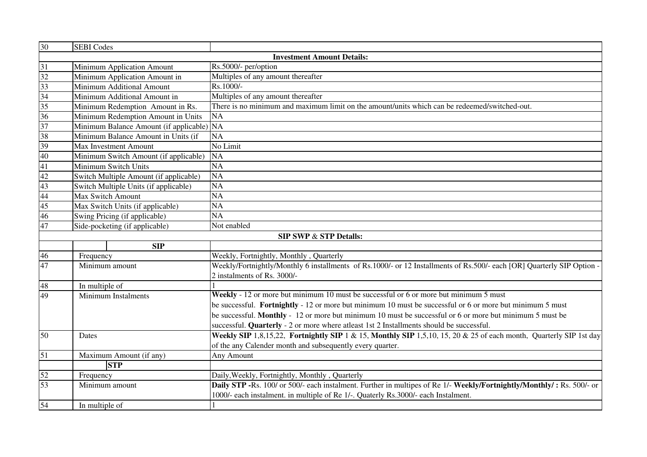| 30                                | <b>SEBI</b> Codes                      |                                                                                                                        |  |  |
|-----------------------------------|----------------------------------------|------------------------------------------------------------------------------------------------------------------------|--|--|
|                                   |                                        | <b>Investment Amount Details:</b>                                                                                      |  |  |
| $\overline{31}$                   | Minimum Application Amount             | Rs.5000/- per/option                                                                                                   |  |  |
| $\frac{32}{33}$                   | Minimum Application Amount in          | Multiples of any amount thereafter                                                                                     |  |  |
|                                   | Minimum Additional Amount              | Rs.1000/-                                                                                                              |  |  |
| 34                                | Minimum Additional Amount in           | Multiples of any amount thereafter                                                                                     |  |  |
| 35                                | Minimum Redemption Amount in Rs.       | There is no minimum and maximum limit on the amount/units which can be redeemed/switched-out.                          |  |  |
| 36                                | Minimum Redemption Amount in Units     | <b>NA</b>                                                                                                              |  |  |
| 37                                | Minimum Balance Amount (if applicable) | NA                                                                                                                     |  |  |
| 38                                | Minimum Balance Amount in Units (if    | NA                                                                                                                     |  |  |
| 39                                | Max Investment Amount                  | No Limit                                                                                                               |  |  |
| 40                                | Minimum Switch Amount (if applicable)  | <b>NA</b>                                                                                                              |  |  |
| 41                                | Minimum Switch Units                   | $\overline{NA}$                                                                                                        |  |  |
| 42                                | Switch Multiple Amount (if applicable) | $\overline{NA}$                                                                                                        |  |  |
| $\frac{43}{44}$                   | Switch Multiple Units (if applicable)  | NA                                                                                                                     |  |  |
|                                   | <b>Max Switch Amount</b>               | NA                                                                                                                     |  |  |
| 45                                | Max Switch Units (if applicable)       | $\overline{NA}$                                                                                                        |  |  |
| 46                                | Swing Pricing (if applicable)          | $\overline{NA}$                                                                                                        |  |  |
| 47                                | Side-pocketing (if applicable)         | Not enabled                                                                                                            |  |  |
| <b>SIP SWP &amp; STP Details:</b> |                                        |                                                                                                                        |  |  |
|                                   | SIP                                    |                                                                                                                        |  |  |
| 46                                | Frequency                              | Weekly, Fortnightly, Monthly, Quarterly                                                                                |  |  |
| 47                                | Minimum amount                         | Weekly/Fortnightly/Monthly 6 installments of Rs.1000/- or 12 Installments of Rs.500/- each [OR] Quarterly SIP Option - |  |  |
|                                   |                                        | 2 instalments of Rs. 3000/-                                                                                            |  |  |
| 48                                | In multiple of                         |                                                                                                                        |  |  |
| 49                                | Minimum Instalments                    | Weekly - 12 or more but minimum 10 must be successful or 6 or more but minimum 5 must                                  |  |  |
|                                   |                                        | be successful. Fortnightly - 12 or more but minimum 10 must be successful or 6 or more but minimum 5 must              |  |  |
|                                   |                                        | be successful. Monthly - 12 or more but minimum 10 must be successful or 6 or more but minimum 5 must be               |  |  |
|                                   |                                        | successful. Quarterly - 2 or more where atleast 1st 2 Installments should be successful.                               |  |  |
| $\overline{50}$                   | Dates                                  | Weekly SIP 1,8,15,22, Fortnightly SIP 1 & 15, Monthly SIP 1,5,10, 15, 20 & 25 of each month, Quarterly SIP 1st day     |  |  |
|                                   |                                        | of the any Calender month and subsequently every quarter.                                                              |  |  |
| 51                                | Maximum Amount (if any)                | Any Amount                                                                                                             |  |  |
|                                   | <b>STP</b>                             |                                                                                                                        |  |  |
| 52                                | Frequency                              | Daily, Weekly, Fortnightly, Monthly, Quarterly                                                                         |  |  |
| 53                                | Minimum amount                         | Daily STP -Rs. 100/ or 500/- each instalment. Further in multipes of Re 1/- Weekly/Fortnightly/Monthly/: Rs. 500/- or  |  |  |
|                                   |                                        | 1000/- each instalment. in multiple of Re 1/-. Quaterly Rs.3000/- each Instalment.                                     |  |  |
| 54                                | In multiple of                         |                                                                                                                        |  |  |